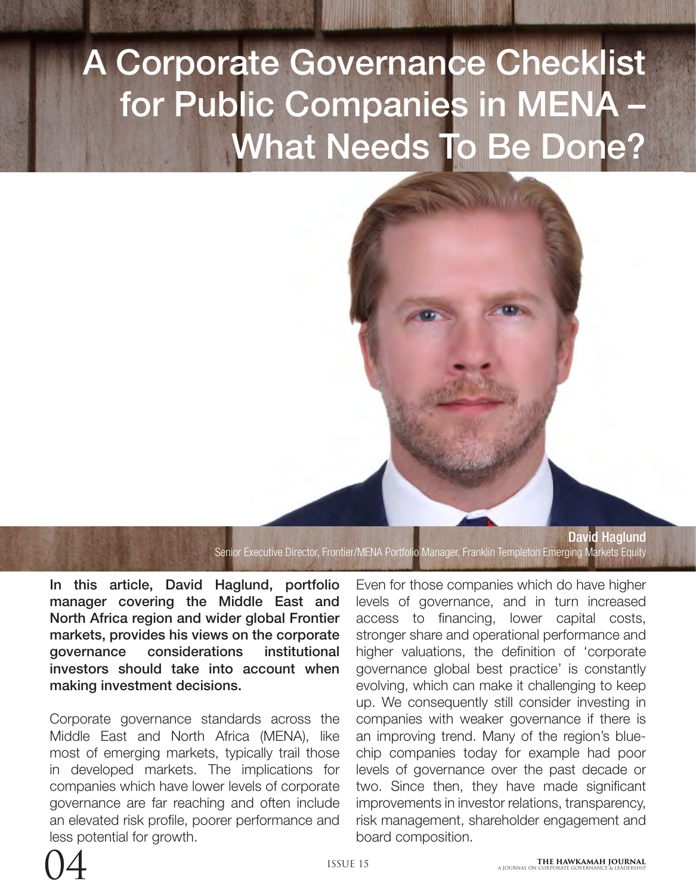# A Corporate Governance Checklist for Public Companies in MENA – What Needs To Be Done?



Senior Executive Director, Frontier/MENA Portfolio Manager, Franklin Templeton Emerging Markets Equity

In this article, David Haglund, portfolio manager covering the Middle East and North Africa region and wider global Frontier markets, provides his views on the corporate governance considerations institutional investors should take into account when making investment decisions.

Corporate governance standards across the Middle East and North Africa (MENA), like most of emerging markets, typically trail those in developed markets. The implications for companies which have lower levels of corporate governance are far reaching and often include an elevated risk profile, poorer performance and less potential for growth.

Even for those companies which do have higher levels of governance, and in turn increased access to financing, lower capital costs, stronger share and operational performance and higher valuations, the definition of 'corporate governance global best practice' is constantly evolving, which can make it challenging to keep up. We consequently still consider investing in companies with weaker governance if there is an improving trend. Many of the region's bluechip companies today for example had poor levels of governance over the past decade or two. Since then, they have made significant improvements in investor relations, transparency, risk management, shareholder engagement and board composition.

David Haglund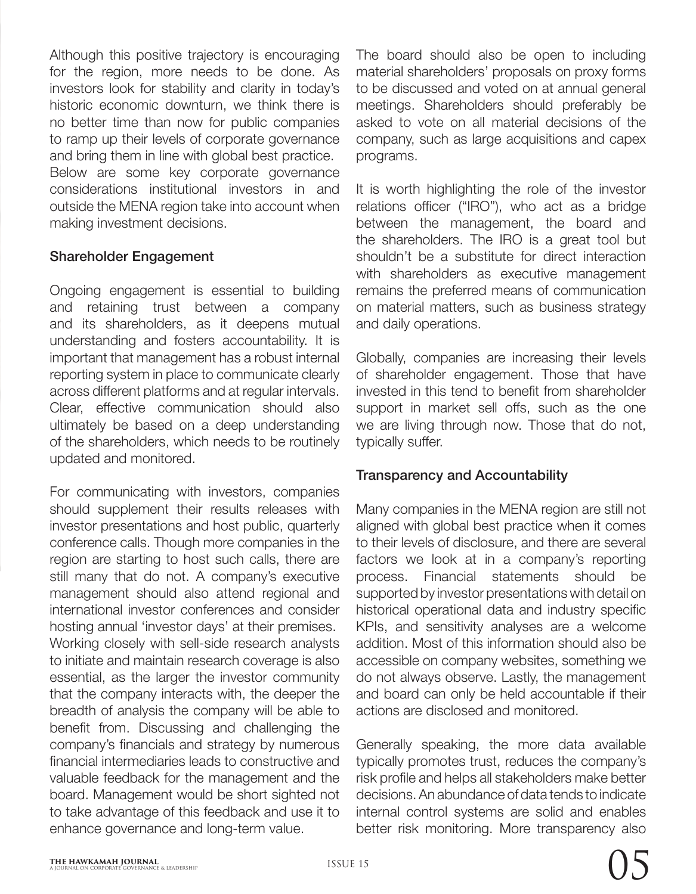Although this positive trajectory is encouraging for the region, more needs to be done. As investors look for stability and clarity in today's historic economic downturn, we think there is no better time than now for public companies to ramp up their levels of corporate governance and bring them in line with global best practice. Below are some key corporate governance considerations institutional investors in and outside the MENA region take into account when making investment decisions.

## Shareholder Engagement

Ongoing engagement is essential to building and retaining trust between a company and its shareholders, as it deepens mutual understanding and fosters accountability. It is important that management has a robust internal reporting system in place to communicate clearly across different platforms and at regular intervals. Clear, effective communication should also ultimately be based on a deep understanding of the shareholders, which needs to be routinely updated and monitored.

For communicating with investors, companies should supplement their results releases with investor presentations and host public, quarterly conference calls. Though more companies in the region are starting to host such calls, there are still many that do not. A company's executive management should also attend regional and international investor conferences and consider hosting annual 'investor days' at their premises. Working closely with sell-side research analysts to initiate and maintain research coverage is also essential, as the larger the investor community that the company interacts with, the deeper the breadth of analysis the company will be able to benefit from. Discussing and challenging the company's financials and strategy by numerous financial intermediaries leads to constructive and valuable feedback for the management and the board. Management would be short sighted not to take advantage of this feedback and use it to enhance governance and long-term value.

The board should also be open to including material shareholders' proposals on proxy forms to be discussed and voted on at annual general meetings. Shareholders should preferably be asked to vote on all material decisions of the company, such as large acquisitions and capex programs.

It is worth highlighting the role of the investor relations officer ("IRO"), who act as a bridge between the management, the board and the shareholders. The IRO is a great tool but shouldn't be a substitute for direct interaction with shareholders as executive management remains the preferred means of communication on material matters, such as business strategy and daily operations.

Globally, companies are increasing their levels of shareholder engagement. Those that have invested in this tend to benefit from shareholder support in market sell offs, such as the one we are living through now. Those that do not, typically suffer.

## Transparency and Accountability

Many companies in the MENA region are still not aligned with global best practice when it comes to their levels of disclosure, and there are several factors we look at in a company's reporting process. Financial statements should be supported by investor presentations with detail on historical operational data and industry specific KPIs, and sensitivity analyses are a welcome addition. Most of this information should also be accessible on company websites, something we do not always observe. Lastly, the management and board can only be held accountable if their actions are disclosed and monitored.

Generally speaking, the more data available typically promotes trust, reduces the company's risk profile and helps all stakeholders make better decisions. An abundance of data tends to indicate internal control systems are solid and enables better risk monitoring. More transparency also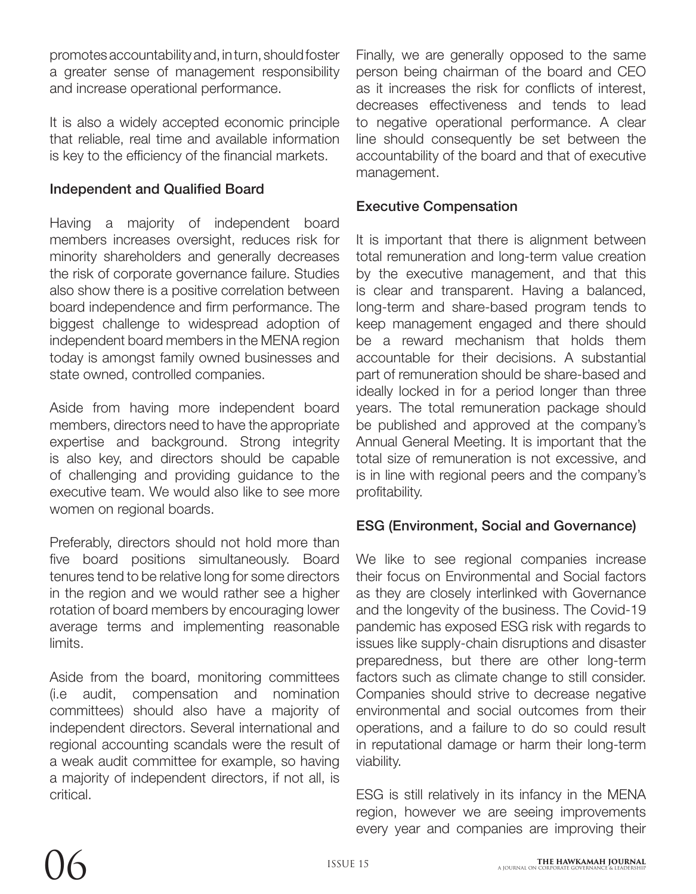promotes accountability and, in turn, should foster a greater sense of management responsibility and increase operational performance.

It is also a widely accepted economic principle that reliable, real time and available information is key to the efficiency of the financial markets.

# Independent and Qualified Board

Having a majority of independent board members increases oversight, reduces risk for minority shareholders and generally decreases the risk of corporate governance failure. Studies also show there is a positive correlation between board independence and firm performance. The biggest challenge to widespread adoption of independent board members in the MENA region today is amongst family owned businesses and state owned, controlled companies.

Aside from having more independent board members, directors need to have the appropriate expertise and background. Strong integrity is also key, and directors should be capable of challenging and providing guidance to the executive team. We would also like to see more women on regional boards.

Preferably, directors should not hold more than five board positions simultaneously. Board tenures tend to be relative long for some directors in the region and we would rather see a higher rotation of board members by encouraging lower average terms and implementing reasonable limits.

Aside from the board, monitoring committees (i.e audit, compensation and nomination committees) should also have a majority of independent directors. Several international and regional accounting scandals were the result of a weak audit committee for example, so having a majority of independent directors, if not all, is critical.

Finally, we are generally opposed to the same person being chairman of the board and CEO as it increases the risk for conflicts of interest, decreases effectiveness and tends to lead to negative operational performance. A clear line should consequently be set between the accountability of the board and that of executive management.

## Executive Compensation

It is important that there is alignment between total remuneration and long-term value creation by the executive management, and that this is clear and transparent. Having a balanced, long-term and share-based program tends to keep management engaged and there should be a reward mechanism that holds them accountable for their decisions. A substantial part of remuneration should be share-based and ideally locked in for a period longer than three years. The total remuneration package should be published and approved at the company's Annual General Meeting. It is important that the total size of remuneration is not excessive, and is in line with regional peers and the company's profitability.

# ESG (Environment, Social and Governance)

We like to see regional companies increase their focus on Environmental and Social factors as they are closely interlinked with Governance and the longevity of the business. The Covid-19 pandemic has exposed ESG risk with regards to issues like supply-chain disruptions and disaster preparedness, but there are other long-term factors such as climate change to still consider. Companies should strive to decrease negative environmental and social outcomes from their operations, and a failure to do so could result in reputational damage or harm their long-term viability.

ESG is still relatively in its infancy in the MENA region, however we are seeing improvements every year and companies are improving their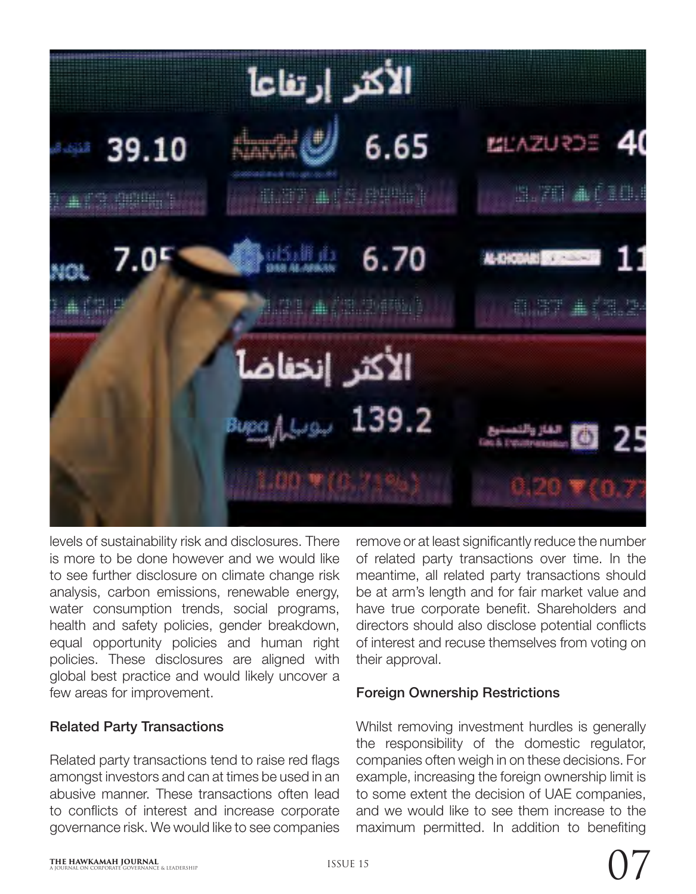

levels of sustainability risk and disclosures. There is more to be done however and we would like to see further disclosure on climate change risk analysis, carbon emissions, renewable energy, water consumption trends, social programs, health and safety policies, gender breakdown, equal opportunity policies and human right policies. These disclosures are aligned with global best practice and would likely uncover a few areas for improvement.

#### Related Party Transactions

Related party transactions tend to raise red flags amongst investors and can at times be used in an abusive manner. These transactions often lead to conflicts of interest and increase corporate governance risk. We would like to see companies

remove or at least significantly reduce the number of related party transactions over time. In the meantime, all related party transactions should be at arm's length and for fair market value and have true corporate benefit. Shareholders and directors should also disclose potential conflicts of interest and recuse themselves from voting on their approval.

## Foreign Ownership Restrictions

Whilst removing investment hurdles is generally the responsibility of the domestic regulator, companies often weigh in on these decisions. For example, increasing the foreign ownership limit is to some extent the decision of UAE companies, and we would like to see them increase to the maximum permitted. In addition to benefiting